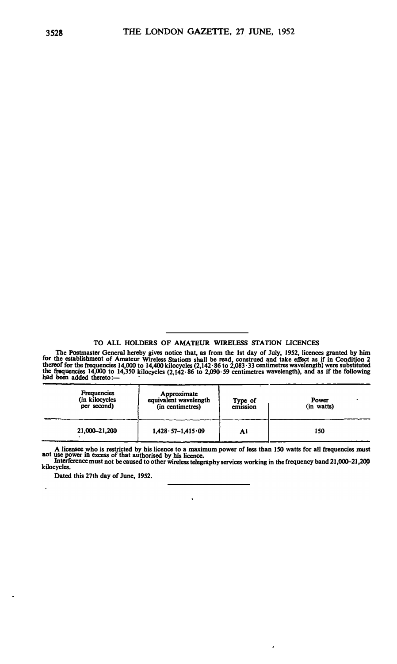## **TO ALL HOLDERS OF AMATEUR WIRELESS STATION LICENCES**

The Postmaster General hereby gives notice that, as from the 1st day of July, 1952, licences granted by him<br>for the establishment of Amateur Wireless Stations shall be read, construed and take effect as if in Condition 2<br>t **b e frequencies 14,000 to 14,350 kilocycles (2,142·86 to 2,090·59 centimetres wavelength), and as if the following d been added thereto:—** 

| <b>Frequencies</b><br>(in kilocycles<br>per second) | Approximate<br>equivalent wavelength<br>(in centimetres) | Type of<br>emission | Power<br>(in watts) |
|-----------------------------------------------------|----------------------------------------------------------|---------------------|---------------------|
| 21,000-21,200                                       | $1,428 \cdot 57 - 1,415 \cdot 09$                        | Al                  | 150                 |

**<sup>A</sup>licensee who is restricted by his licence to a maximum power of Jess than ISO watts for all frequencies must**

**a** ot use power in excess of that authorised by his licence.<br>
Interference must not be caused to other wireless telegraphy services working in the frequency band 21,000–21,200<br>
kilocycles. kilocycles.

 $\ddot{\phantom{0}}$ 

 $\overline{\phantom{a}}$ 

**Dated this 27th day of June, 19S2.** 

 $\ddot{\phantom{a}}$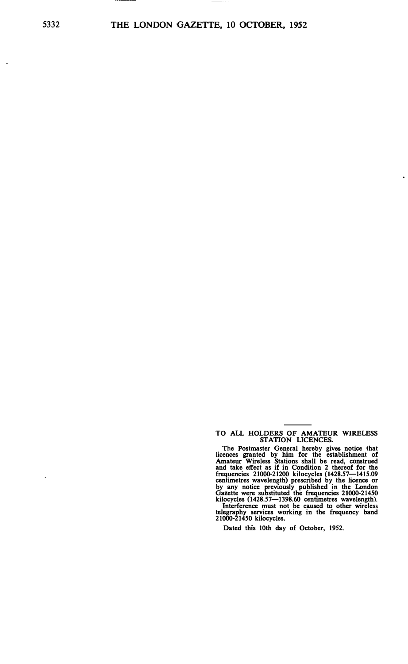5332 **THE LONDON GAZETTE, 10 OCTOBER, 1952** 

 $\lambda$ 

l,

**TO ALL HOLDERS OF AMATEUR WIRELESS STATION LICENCES.** 

 $\ddot{\phantom{a}}$ 

**The Postmaster General hereby gives notice that licences granted by him for the establishment of Amateur Wireless Stations shall be read, construed and take effect as if in Condition 2 thereof for the frequencies 21000-21200 kilocycles (1428.57-1415.09 centimetres wavelength) prescribed by the licence or by any notice previously published in the London Gazette were substituted the frequencies 21000-21450 kilocycles (1428.57-1398.60 centimetres wavelength).** 

Interference must not be caused to other wireless<br>telegraphy services working in the frequency band<br>21000-21450 kilocycles.

**Dated this 10th day of October, 1952.**